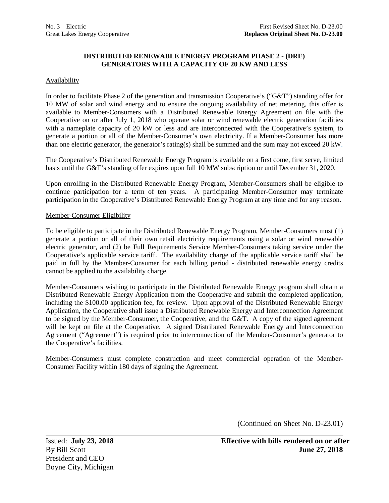# **DISTRIBUTED RENEWABLE ENERGY PROGRAM PHASE 2 - (DRE) GENERATORS WITH A CAPACITY OF 20 KW AND LESS**

## **Availability**

In order to facilitate Phase 2 of the generation and transmission Cooperative's ("G&T") standing offer for 10 MW of solar and wind energy and to ensure the ongoing availability of net metering, this offer is available to Member-Consumers with a Distributed Renewable Energy Agreement on file with the Cooperative on or after July 1, 2018 who operate solar or wind renewable electric generation facilities with a nameplate capacity of 20 kW or less and are interconnected with the Cooperative's system, to generate a portion or all of the Member-Consumer's own electricity. If a Member-Consumer has more than one electric generator, the generator's rating(s) shall be summed and the sum may not exceed 20 kW.

The Cooperative's Distributed Renewable Energy Program is available on a first come, first serve, limited basis until the G&T's standing offer expires upon full 10 MW subscription or until December 31, 2020.

Upon enrolling in the Distributed Renewable Energy Program, Member-Consumers shall be eligible to continue participation for a term of ten years. A participating Member-Consumer may terminate participation in the Cooperative's Distributed Renewable Energy Program at any time and for any reason.

#### Member-Consumer Eligibility

To be eligible to participate in the Distributed Renewable Energy Program, Member-Consumers must (1) generate a portion or all of their own retail electricity requirements using a solar or wind renewable electric generator, and (2) be Full Requirements Service Member-Consumers taking service under the Cooperative's applicable service tariff. The availability charge of the applicable service tariff shall be paid in full by the Member-Consumer for each billing period - distributed renewable energy credits cannot be applied to the availability charge.

Member-Consumers wishing to participate in the Distributed Renewable Energy program shall obtain a Distributed Renewable Energy Application from the Cooperative and submit the completed application, including the \$100.00 application fee, for review. Upon approval of the Distributed Renewable Energy Application, the Cooperative shall issue a Distributed Renewable Energy and Interconnection Agreement to be signed by the Member-Consumer, the Cooperative, and the G&T. A copy of the signed agreement will be kept on file at the Cooperative. A signed Distributed Renewable Energy and Interconnection Agreement ("Agreement") is required prior to interconnection of the Member-Consumer's generator to the Cooperative's facilities.

Member-Consumers must complete construction and meet commercial operation of the Member-Consumer Facility within 180 days of signing the Agreement.

(Continued on Sheet No. D-23.01)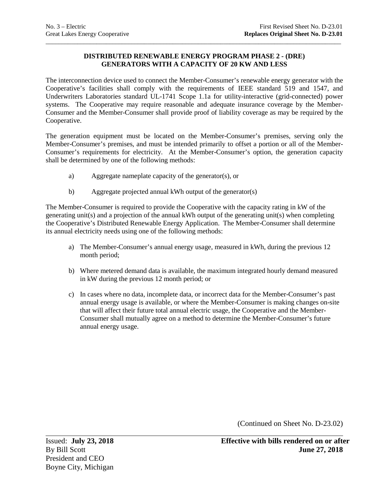# **DISTRIBUTED RENEWABLE ENERGY PROGRAM PHASE 2 - (DRE) GENERATORS WITH A CAPACITY OF 20 KW AND LESS**

\_\_\_\_\_\_\_\_\_\_\_\_\_\_\_\_\_\_\_\_\_\_\_\_\_\_\_\_\_\_\_\_\_\_\_\_\_\_\_\_\_\_\_\_\_\_\_\_\_\_\_\_\_\_\_\_\_\_\_\_\_\_\_\_\_\_\_\_\_\_\_\_\_\_\_\_\_\_\_\_\_\_\_\_\_\_\_\_\_\_\_\_\_

The interconnection device used to connect the Member-Consumer's renewable energy generator with the Cooperative's facilities shall comply with the requirements of IEEE standard 519 and 1547, and Underwriters Laboratories standard UL-1741 Scope 1.1a for utility-interactive (grid-connected) power systems. The Cooperative may require reasonable and adequate insurance coverage by the Member-Consumer and the Member-Consumer shall provide proof of liability coverage as may be required by the Cooperative.

The generation equipment must be located on the Member-Consumer's premises, serving only the Member-Consumer's premises, and must be intended primarily to offset a portion or all of the Member-Consumer's requirements for electricity. At the Member-Consumer's option, the generation capacity shall be determined by one of the following methods:

- a) Aggregate nameplate capacity of the generator(s), or
- b) Aggregate projected annual kWh output of the generator(s)

The Member-Consumer is required to provide the Cooperative with the capacity rating in kW of the generating unit(s) and a projection of the annual kWh output of the generating unit(s) when completing the Cooperative's Distributed Renewable Energy Application. The Member-Consumer shall determine its annual electricity needs using one of the following methods:

- a) The Member-Consumer's annual energy usage, measured in kWh, during the previous 12 month period;
- b) Where metered demand data is available, the maximum integrated hourly demand measured in kW during the previous 12 month period; or
- c) In cases where no data, incomplete data, or incorrect data for the Member-Consumer's past annual energy usage is available, or where the Member-Consumer is making changes on-site that will affect their future total annual electric usage, the Cooperative and the Member-Consumer shall mutually agree on a method to determine the Member-Consumer's future annual energy usage.

(Continued on Sheet No. D-23.02)